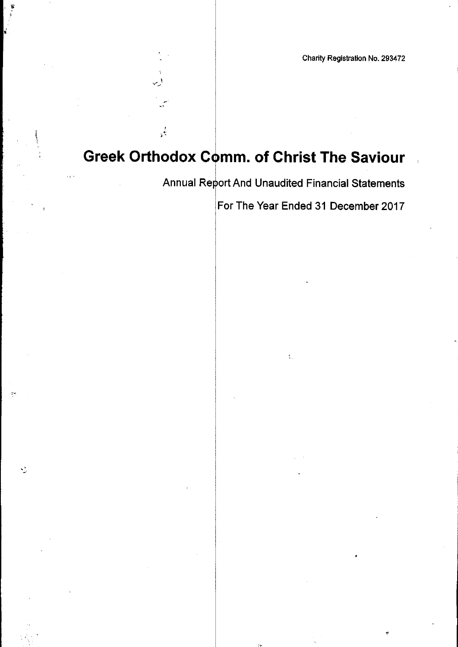$\frac{1}{2}$ 

 $\frac{1}{2}$ 

Annual Report And Unaudited Financial Statements

ţ,

For The Year Ended 31 December 2017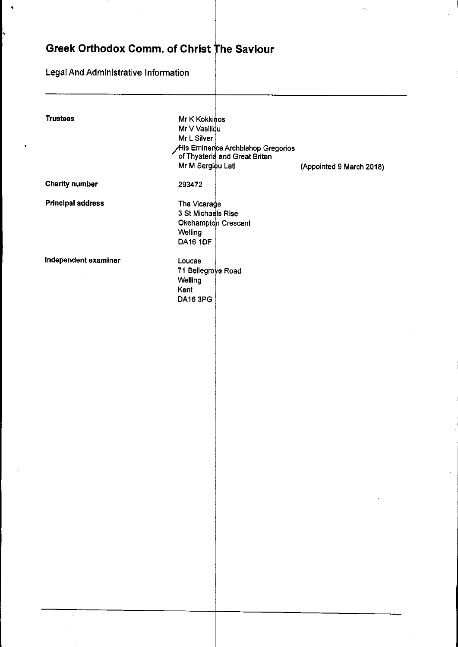Legal And Administrative Information

 $\tilde{\mathbf{q}}$ 

| <b>Trustees</b>          | Mr K Kokkinos<br>Mr V Vasiliou<br>Mr L Silver<br>Mr M Sergiou Lati                      | His Eminence Archbishop Gregorios<br>of Thyateria and Great Britan | (Appointed 9 March 2018) |
|--------------------------|-----------------------------------------------------------------------------------------|--------------------------------------------------------------------|--------------------------|
| <b>Charity number</b>    | 293472                                                                                  |                                                                    |                          |
| <b>Principal address</b> | The Vicarage<br>3 St Michaels Rise<br>Okehampton Crescent<br>Welling<br><b>DA16 1DF</b> |                                                                    |                          |
| Independent examiner     | Loucas<br>71 Bellegrove Road<br>Welling<br>Kent<br><b>DA16 3PG</b>                      |                                                                    |                          |
|                          |                                                                                         |                                                                    |                          |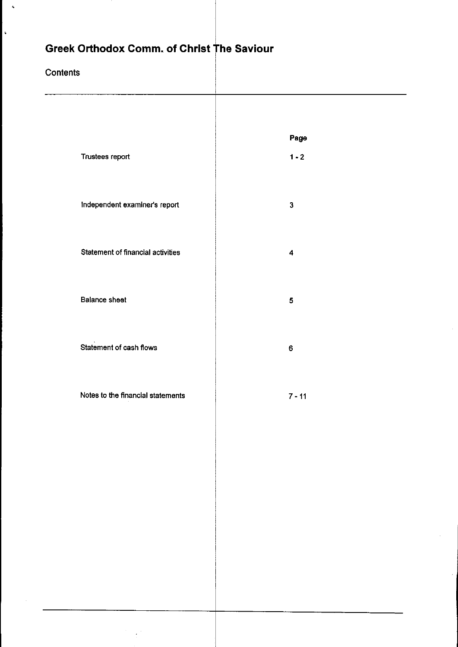## **Contents**

 $\mathbf{A}$ 

 $\mathbf{L}$ 

|                                          | Page         |
|------------------------------------------|--------------|
| Trustees report                          | $1 - 2$      |
|                                          |              |
| Independent examiner's report            | $\mathbf{3}$ |
| <b>Statement of financial activities</b> | 4            |
|                                          |              |
| <b>Balance sheet</b>                     | 5            |
|                                          |              |
| Statement of cash flows                  | $\mathbf 6$  |
|                                          |              |
| Notes to the financial statements        | $7 - 11$     |
|                                          |              |
|                                          |              |
|                                          |              |
|                                          |              |
|                                          |              |
|                                          |              |
|                                          |              |
|                                          |              |
|                                          |              |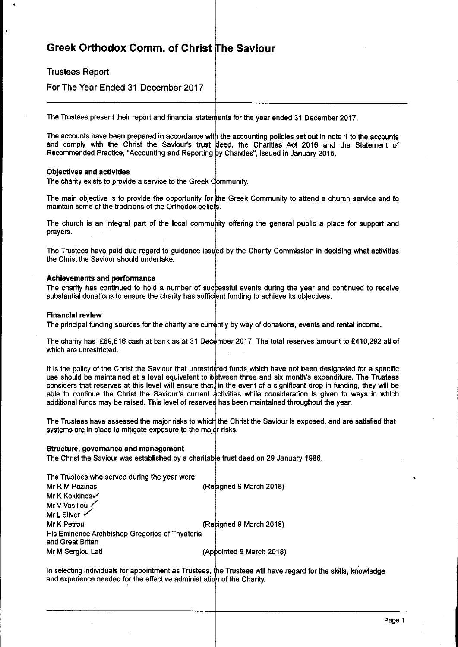Trustees Report

For The Year Ended 31 December 2017

The Trustees present their report and financial statements for the year ended 31 December 2017.

The accounts have been prepared in accordance with the accounting policies set out in note 1 to the account and comply with the Christ the Saviour's trust deed, the Charities Act 2016 and the Statement of Recommended Practice, "Accounting and Reporting <sup>y</sup> Charities', issued in January 2015.

### Objectives and activities

The charity exists to provide a service to the Greek Communit

The main objective is to provide the opportunity for he Greek Community to attend a church service and to maintain some of the traditions of the Orthodox belie

The church is an integral part of the local community offering the general public a place for support and prayers.

The Trustees have paid due regard to guidance issued by the Charity Commission in deciding what activitie the Christ the Saviour should undertake.

### Achievements and performance

The charity has continued to hold a number of successful events during the year and continued to receive substantial donations to ensure the charity has sufficient funding to achieve its objectives

### Financial review

The principal funding sources for the charity are currently by way of donations, events and rental income

The charity has £69,616 cash at bank as at 31 December 2017. The total reserves amount to £410,292 all of which are unrestricted.

It is the policy of the Christ the Saviour that unrestri¢ted funds which have not been designated for a specific use should be maintained at a level equivalent to between three and six month's expenditure. The Trustee considers that reserves at this level will ensure that,|in the event of a significant drop in funding, they will be able to continue the Christ the Saviour's current activities while consideration is given to ways in whicl additional funds may be raised. This level of reserve has been maintained throughout the year.

The Trustees have assessed the major risks to which the Christ the Saviour is exposed, and are satisfied tha systems are in place to mitigate exposure to the major risks

### Structure, governance and management

The Christ the Saviour was established by a charitable trust deed on 29 January 1986.

| The Trustees who served during the year were:  |  |
|------------------------------------------------|--|
| (Resigned 9 March 2018)<br>Mr R M Pazinas      |  |
| Mr K Kokkinos√                                 |  |
| Mr V Vasiliou                                  |  |
| Mr L Silver                                    |  |
| (Resigned 9 March 2018)<br>Mr K Petrou         |  |
| His Eminence Archbishop Gregorios of Thyateria |  |
| and Great Britan                               |  |
| (Appointed 9 March 2018)<br>Mr M Sergiou Lati  |  |

In selecting individuals for appointment as Trustees, the Trustees will have regard for the skills, knowledg and experience needed for the effective administration of the Char<del>it</del>y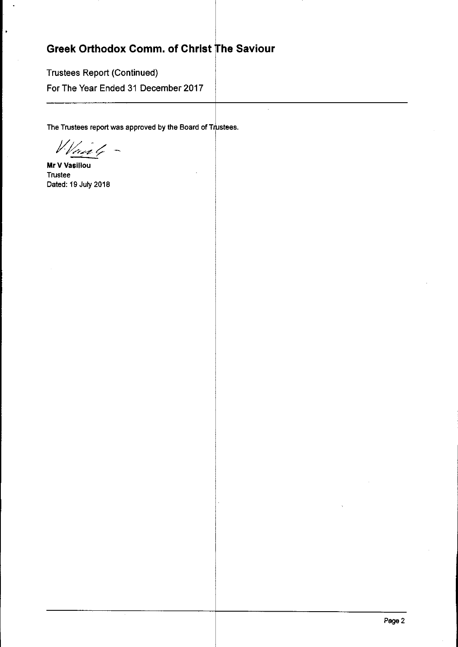Trustees Report (Continued)

For The Year Ended 31 December 2017

The Trustees report was approved by the Board of Trustees  $\;$ 

Waiste -

Mr V Vasiliou Trustee Dated: 19 July 2018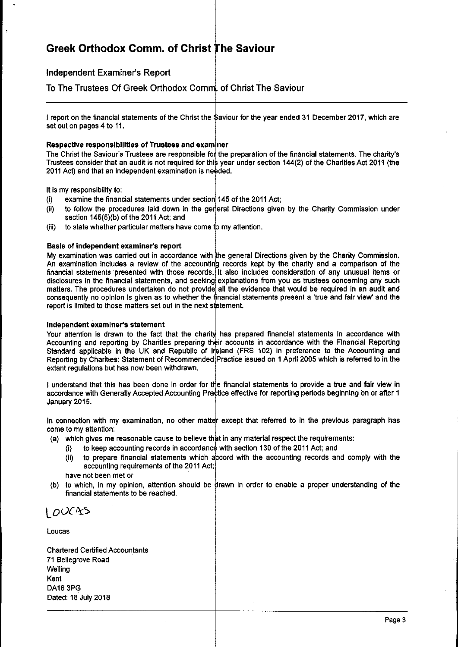## independent Examiner's Report

To The Trustees Of Greek Orthodox Comm¦. of Christ The Saviou

l report on the financial statements of the Christ the Şaviour for the year ended 31 December 2017, which are set out on pages 4 to 11.

## Respective responsibilities of Trustees and examiner

The Christ the Saviour's Trustees are responsible for the preparation of the financial statements. The charity' Trustees consider that an audit is not required for this year under section 144(2) of the Charities Act 2011 (the 2011 Act) and that an independent examination is ne ded.

It is my responsibility to:

(i)  $\qquad$  examine the financial statements under section 145 of the 2011 Act

- (ii) to follow the procedures laid down in the general Directions given by the Charity Commission unde section 145(5)(b) of the 2011 Act; and
- (iii) to state whether particular matters have come to my attentior

### Basis of independent examiner's report

My examination was carried out in accordance with the general Directions given by the Charity Commission An examination includes a review of the accounting records kept by the charity and a comparison of the financial statements presented with those records. It also includes consideration of any unusual items or disclosures in the financial statements, and seeking explanations from you as trustees concerning any such matters. The procedures undertaken do not provide¦ all the evidence that would be required in an audit and consequently no opinion is given as to whether the financial statements present a 'true and fair view' and the report is limited to those matters set out in the next s**t**atement

### Independent examiner's statement

Your attention is drawn to the fact that the charity has prepared financial statements in accordance with Accounting and reporting by Charities preparing their accounts in accordance with the Financial Reportin Standard applicable in the UK and Republic of Ireland (FRS 102) in preference to the Accounting and Reporting by Charities: Statement of Recommended Practice issued on 1 Aprfi 2005 which Is referred to in the extant regulations but has now been withdrawn.

I understand that this has been done in order for the financial statements to provide a true and fair view ir accordance with Generally Accepted Accounting Practice effective for reporting periods beginning on or after 1 January 2015.

In connection with my examination, no other matter except that referred to in the previous paragraph has come to my attention:

- (a) which gives me reasonable cause to believe that in any material respect the requirement
	- (i) to keep accounting records in accordance with section 130 of the 2011 Act; and
	- (ii) to prepare financial statements which a<mark>ccord with the accounting records and comply with t</mark>he accounting requirements of the 2011 Act;
	- have not been met or
- (b) to which, in my opinion, attention should be drawn in order to enable a proper understanding of the financial statements to be reached.

 $LOUCAS$ 

Loucas

Chartered Certified Accountants 71 Befiegrove Road **Welling** Kent DA16 3PG Dated: 18 July 2018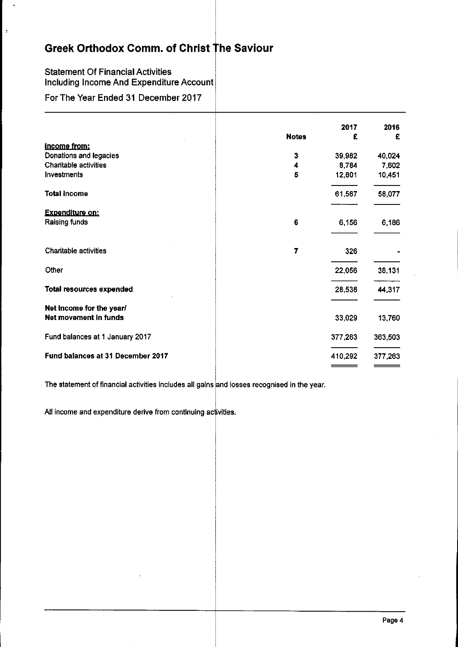## Statement Of Financial Activities Including Income And Expenditure Account

For The Year Ended 31 December 2017

 $\rightarrow$ 

|   | 2017         | 2016<br>£ |
|---|--------------|-----------|
|   |              |           |
| 3 | 39,982       | 40,024    |
| 4 | 8,784        | 7,602     |
| 5 | 12,801       | 10,451    |
|   | 61,567       | 58,077    |
|   |              |           |
| 6 | 6,156        | 6,186     |
| 7 | 326          |           |
|   | 22,056       | 38,131    |
|   | 28,538       | 44,317    |
|   |              |           |
|   | 33,029       | 13,760    |
|   | 377,263      | 363,503   |
|   | 410,292      | 377,263   |
|   | <b>Notes</b> | £         |

The statement of financial activities includes all gains and losses recognised in the year.

All income and expenditure derive from continuing activities.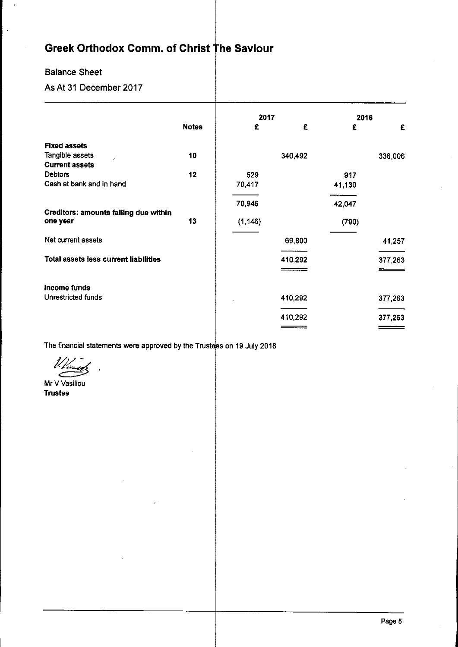## Balance Sheet

 $\overline{a}$ 

## As At 31 December 2017

|                                              |              | 2017     |         | 2016   |         |
|----------------------------------------------|--------------|----------|---------|--------|---------|
|                                              | <b>Notes</b> | £        | £       | £      | £       |
| <b>Fixed assets</b>                          |              |          |         |        |         |
| Tangible assets<br>c.                        | 10           |          | 340,492 |        | 336,006 |
| <b>Current assets</b>                        |              |          |         |        |         |
| <b>Debtors</b>                               | 12           | 529      |         | 917    |         |
| Cash at bank and in hand                     |              | 70,417   |         | 41,130 |         |
|                                              |              | 70,946   |         | 42,047 |         |
| Creditors: amounts falling due within        |              |          |         |        |         |
| one year                                     | 13           | (1, 146) |         | (790)  |         |
| Net current assets                           |              |          | 69,800  |        | 41,257  |
| <b>Total assets less current liabilities</b> |              |          | 410,292 |        | 377,263 |
|                                              |              |          |         |        |         |
| Income funds                                 |              |          |         |        |         |
| Unrestricted funds                           |              |          | 410,292 |        | 377,263 |
|                                              |              |          | 410,292 |        | 377,263 |
|                                              |              |          |         |        |         |
|                                              |              |          |         |        |         |

The financial statements were approved by the Trustees on 19 July 2018

 $\nu_{\ell}$ 

Mr V Vasiliou Trustee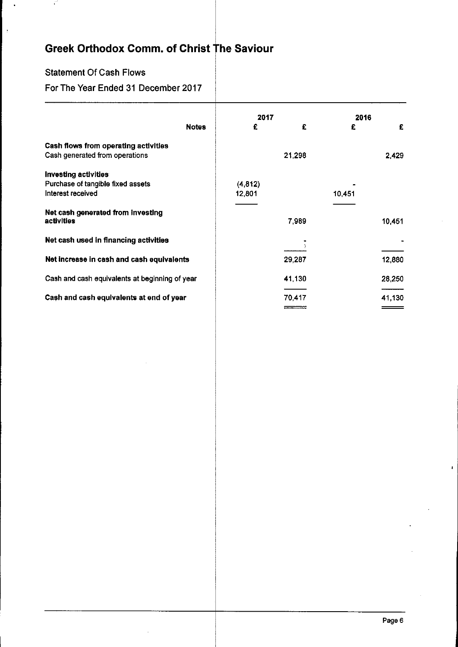$\ddot{\phantom{a}}$ 

## Statement Of Cash Flows

 $\ddot{\epsilon}$ 

 $\bar{\gamma}$ 

## For The Year Ended 31 December 2017

|                                                | 2017    |        | 2016   |        |
|------------------------------------------------|---------|--------|--------|--------|
| <b>Notes</b>                                   | £       | £      | £      | £      |
| Cash flows from operating activities           |         |        |        |        |
| Cash generated from operations                 |         | 21,298 |        | 2,429  |
| Investing activities                           |         |        |        |        |
| Purchase of tangible fixed assets              | (4,812) |        |        |        |
| Interest received                              | 12,801  |        | 10,451 |        |
|                                                |         |        |        |        |
| Net cash generated from investing              |         |        |        |        |
| activities                                     |         | 7,989  |        | 10,451 |
|                                                |         |        |        |        |
| Net cash used in financing activities          |         |        |        |        |
|                                                |         |        |        |        |
| Net increase in cash and cash equivalents      |         |        |        |        |
|                                                |         | 29,287 |        | 12,880 |
| Cash and cash equivalents at beginning of year |         | 41,130 |        | 28,250 |
|                                                |         |        |        |        |
| Cash and cash equivalents at end of year       |         | 70,417 |        | 41,130 |
|                                                |         |        |        |        |
|                                                |         |        |        |        |

 $\mathbf{r}$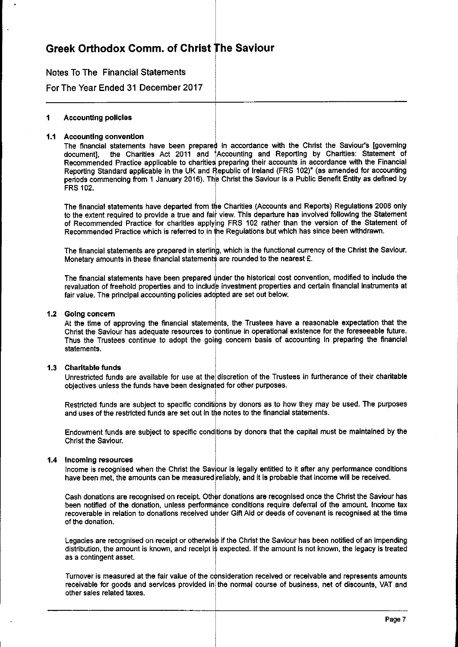## Notes To The Financial Statements

For The Year Ended 31 December 2017

#### 1 Accounting policies

### 1.1 Accounting convention

The financial statements have been prepared in accordance with the Christ the Saviour's [governing] document], the Charities Act 2011 and †Accounting and Reporting by Charities: Statement of Recommended Practice applicable to charities preparing their accounts in accordance with the Financia Reporting Standard applicable in the UK and Republic of Ireland (FRS 102)\* (as amended for accountin periods commencing from 1 January 2016). The Christ the Saviour is a Public Benefit Entity as defined by FRS 102.

The financial statements have departed from the Charities (Accounts and Reports) Regulations 2008 only to the extent required to provide a true and fair view. This departure has involved following the Statemer of Recommended Practice for charities apply ng FRS 102 rather than the version of the Statement of Recommended Practice which is referred to in the Regulations but which has since been withdraw

The financial statements are prepared in sterling, which is the functional currency of the Christ the Saviour, Monetary amounts in these financial statements are rounded to the nearest £.

The financial statements have been prepared under the historical cost convention, modified to include the revaluation of freehold properties and to include investment properties and certain financial instruments at fair value. The principal accounting policies adopted are set out below.

### 1.2 Going concern

At the time of approving the financial statements, the Trustees have a reasonable expectation that the Christ the Saviour has adequate resources to continue in operational existence for the foreseeable future Thus the Trustees continue to adopt the going concern basis of accounting in preparing the financia statements.

## Charitable funds

Unrestricted funds are available for use at the discretion of the Trustees in furtherance of their charitabl objectives unless the funds have been designa ed for other purposes.

Restricted funds are subject to specific conditions by donors as to how they may be used. The purposes and uses of the restricted funds are set out in the notes to the financial statements.

Endowment funds are subject to specific conditions by donors that the capital must be maintained by the Christ the Saviour.

### 1.4 Incoming resources

Income is recognised when the Christ the Saviour is legally entitled to it after any performance condition have been met, the amounts can be measured∣reliably, and it is probable that income will be received

Cash donations are recognised on receipt. Other donations are recognised once the Christ the Saviour has been notified of the donation, unless performance conditions require deferral of the amount. Income tax recoverable in relation to donations received under Gift Aid or deeds of covenant is recognised at the time of the donation.

Legacies are recognised on receipt or otherwise if the Christ the Saviour has been notified of an impending distribution, the amount is known, and receipt is expected. If the amount is not known, the legacy is treated as a contingent asset.

Turnover is measured at the fair value of the consideration received or receivable and represents amounts receivable for goods and services provided in the normal course of business, net of discounts, VAT and other sales related taxes.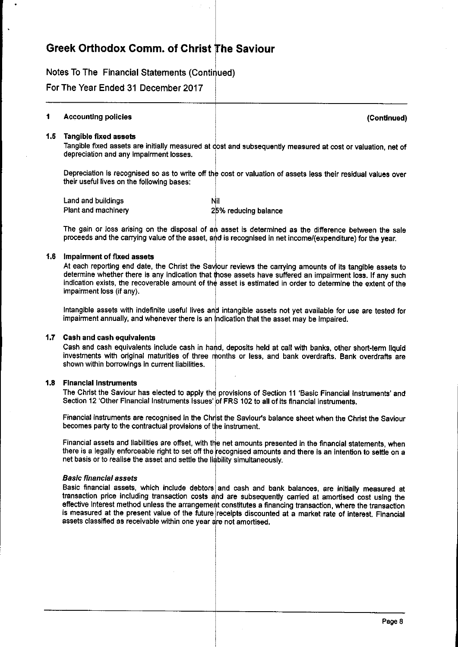Notes To The Financial Statements (Conti ued)

For The Year Ended 31 December 2017

#### 1 Accounting policies (Continued)

## 1.5 Tangible fixed assets

Tangible fixed assets are initially measured at dost and subsequently measured at cost or valuation, net of depreciation and any Impairment losses.

Depreciation is recognised so as to write off the cost or valuation of assets less their residual values over their useful lives on the following bases:

| Land and buildings  | Nil                  |
|---------------------|----------------------|
| Plant and machinery | 25% reducing balance |

The gain or loss arising on the disposal of an asset is determined as the difference between the sale proceeds and the carrying value of the asset, and is recognised in net income/(expenditure) for the year

## 1.6 Impairment of fixed assets

At each reporting end date, the Christ the Saviour reviews the carrying amounts of its tangible assets to determine whether there is any indication that **t**hose assets have suffered an impairment loss. If any suc**l** indication exists, the recoverable amount of the asset is estimated in order to determine the extent of the Impairment loss (if any).

Intangible assets with indefinite useful lives and intangible assets not yet available for use are tested for impairment annually, and whenever there is an indication that the asset may be impaired

### 1.7 Cash and cash equivalents

Cash and cash equivalents include cash in hand, deposits held at call with banks, other short-term llqui investments with original maturities of three months or less, and bank overdrafts. Bank overdrafts are shown within borrowings in current liabilities.

## 1.8 Financial Instruments

The Christ the Saviour has elected to apply the provisions of Section 11 'Basic Financial Instruments' and Section 12 'Other Financial Instruments Issues' of FRS 102 to all of its financial instrument

Financial instruments are recognised in the Christ the Saviour's balance sheet when the Christ the Saviou becomes party to the contractual provisions of the instrumer

Financial assets and liabilities are offset, with the net amounts presented in the financial statements, whel there is a legally enforceable right to set off the recognised amounts and there is an intention to settle on a net basis or to realise the asset and settle the liability simultaneous

### **Basic financial assets**

Basic financial assets, which include debtors and cash and bank balances, are initially measured at transaction price including transaction costs and are subsequently carried at amortised cost using the effective Interest method unless the arrangement constitutes a financing transaction, where the transactic is measured at the present value of the future receipts discounted at a market rate of interest. Financia assets classified as receivable within one year are not amortised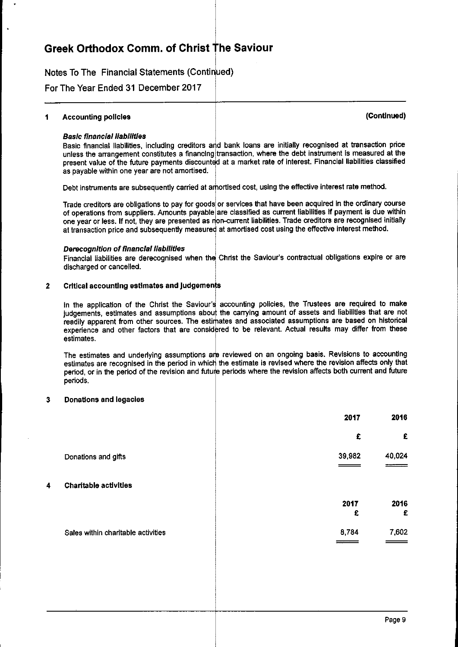Notes To The Financial Statements (Conti ued)

For The Year Ended 31 December 2017

## 1 Accounting policies (Continued)

## **Basic financial liabilities**

Basic financial liabilities, including creditors and bank loans are initially recognised at transaction price unless the arrangement constitutes a financing $\vert$ transaction, where the debt instrument is measured at the present value of the future payments discounted at a market rate of interest. Financial liabilities classifie as payable within one year are not amortised.

Debt instruments are subsequently carried at amortised cost, using the effective interest rate method.

Trade creditors are obligations to pay for goods or services that have been acquired in the ordinary course of operations from suppliers. Amounts payable are classified as current liabilities if payment is due withi one year or less. If not, they are presented as non-current liabilities. Trade creditors are recognised initiall at transaction price and subsequently measured at amortised cost using the effective interest method

## Derecognition of financial liabilities

Financial liabilities are derecognised when the Christ the Saviour's contractual obligations expire or are discharged or cancelled.

## 2 Critical accounting estimates and judgements

In the application of the Christ the Saviour's accounting policies, the Trustees are required to make judgements, estimates and assumptions about the carrying amount of assets and liabilities that are not readily apparent from other sources. The estimates and associated assumptions are based on historica experience and other factors that are considered to be relevant. Actual results may differ from these estimates.

The estimates and underlying assumptions are reviewed on an ongoing basis. Revisions to accountin estimates are recognised in the period in which the estimate is revised where the revision affects only tha period, or in the period of the revision and future periods where the revision affects both current and futur periods.

### 3 Donations and legacies

|   |                                    | 2017      | 2016      |
|---|------------------------------------|-----------|-----------|
|   |                                    | £         | £         |
|   | Donations and gifts                | 39,982    | 40,024    |
| 4 | Charitable activities              |           |           |
|   |                                    | 2017<br>£ | 2016<br>£ |
|   | Sales within charitable activities | 8,784     | 7,602     |
|   |                                    |           |           |
|   |                                    |           |           |
|   |                                    |           |           |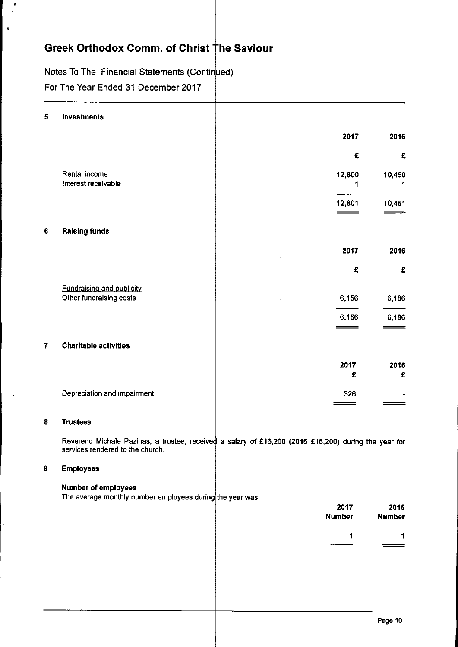# Notes To The Financial Statements (Continued)

For The Year Ended 31 December 2017

 $\ddot{\phantom{a}}$ 

| 5              | Investments                                                                                                                              |                              |                       |
|----------------|------------------------------------------------------------------------------------------------------------------------------------------|------------------------------|-----------------------|
|                |                                                                                                                                          | 2017                         | 2016                  |
|                |                                                                                                                                          | £                            | £                     |
|                | Rental income<br>Interest receivable                                                                                                     | 12,800<br>1                  | 10,450<br>1.          |
|                |                                                                                                                                          | 12,801<br>$\hspace{1.5cm} =$ | 10,451                |
| 6              | <b>Ralsing funds</b>                                                                                                                     |                              |                       |
|                |                                                                                                                                          | 2017                         | 2016                  |
|                |                                                                                                                                          | £                            | £                     |
|                | Fundraising and publicity<br>Other fundraising costs                                                                                     | 6,156                        | 6,186                 |
|                |                                                                                                                                          | 6,156                        | 6,186                 |
| $\overline{r}$ | <b>Charitable activities</b>                                                                                                             |                              |                       |
|                |                                                                                                                                          | 2017<br>£                    | 2016<br>£             |
|                | Depreciation and impairment                                                                                                              | 326                          |                       |
| 8              | <b>Trustees</b>                                                                                                                          |                              |                       |
|                | Reverend Michale Pazinas, a trustee, received a salary of £16,200 (2016 £16,200) during the year for<br>services rendered to the church. |                              |                       |
| $\pmb{9}$      | <b>Employees</b>                                                                                                                         |                              |                       |
|                | Number of employees<br>The average monthly number employees during the year was:                                                         |                              |                       |
|                |                                                                                                                                          | 2017<br><b>Number</b>        | 2016<br><b>Number</b> |
|                |                                                                                                                                          | 1                            | 1                     |
|                |                                                                                                                                          |                              |                       |
|                |                                                                                                                                          |                              |                       |
|                |                                                                                                                                          |                              |                       |